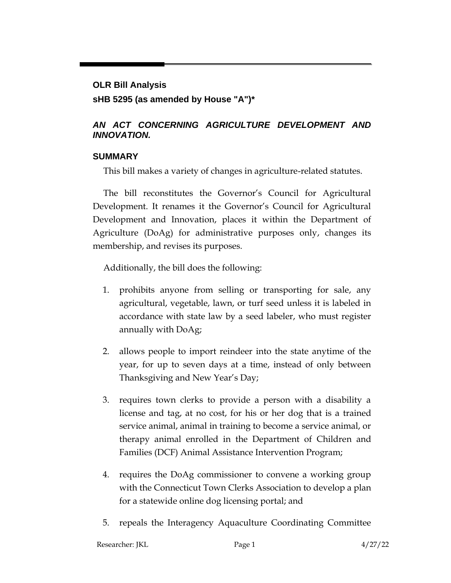# **OLR Bill Analysis sHB 5295 (as amended by House "A")\***

### *AN ACT CONCERNING AGRICULTURE DEVELOPMENT AND INNOVATION.*

### **SUMMARY**

This bill makes a variety of changes in agriculture-related statutes.

The bill reconstitutes the Governor's Council for Agricultural Development. It renames it the Governor's Council for Agricultural Development and Innovation, places it within the Department of Agriculture (DoAg) for administrative purposes only, changes its membership, and revises its purposes.

Additionally, the bill does the following:

- 1. prohibits anyone from selling or transporting for sale, any agricultural, vegetable, lawn, or turf seed unless it is labeled in accordance with state law by a seed labeler, who must register annually with DoAg;
- 2. allows people to import reindeer into the state anytime of the year, for up to seven days at a time, instead of only between Thanksgiving and New Year's Day;
- 3. requires town clerks to provide a person with a disability a license and tag, at no cost, for his or her dog that is a trained service animal, animal in training to become a service animal, or therapy animal enrolled in the Department of Children and Families (DCF) Animal Assistance Intervention Program;
- 4. requires the DoAg commissioner to convene a working group with the Connecticut Town Clerks Association to develop a plan for a statewide online dog licensing portal; and
- 5. repeals the Interagency Aquaculture Coordinating Committee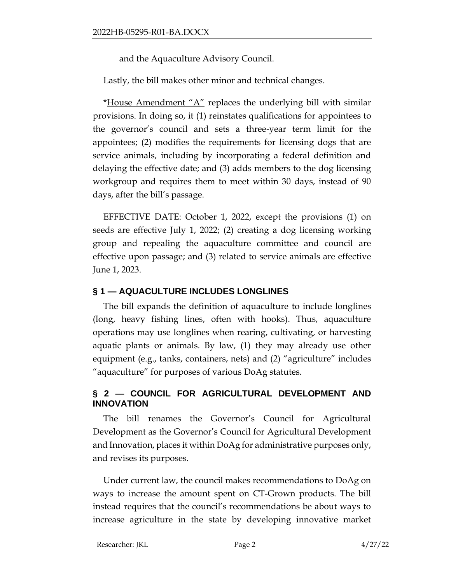and the Aquaculture Advisory Council.

Lastly, the bill makes other minor and technical changes.

\*House Amendment " $A$ " replaces the underlying bill with similar provisions. In doing so, it (1) reinstates qualifications for appointees to the governor's council and sets a three-year term limit for the appointees; (2) modifies the requirements for licensing dogs that are service animals, including by incorporating a federal definition and delaying the effective date; and (3) adds members to the dog licensing workgroup and requires them to meet within 30 days, instead of 90 days, after the bill's passage.

EFFECTIVE DATE: October 1, 2022, except the provisions (1) on seeds are effective July 1, 2022; (2) creating a dog licensing working group and repealing the aquaculture committee and council are effective upon passage; and (3) related to service animals are effective June 1, 2023.

# **§ 1 — AQUACULTURE INCLUDES LONGLINES**

The bill expands the definition of aquaculture to include longlines (long, heavy fishing lines, often with hooks). Thus, aquaculture operations may use longlines when rearing, cultivating, or harvesting aquatic plants or animals. By law, (1) they may already use other equipment (e.g., tanks, containers, nets) and (2) "agriculture" includes "aquaculture" for purposes of various DoAg statutes.

### **§ 2 — COUNCIL FOR AGRICULTURAL DEVELOPMENT AND INNOVATION**

The bill renames the Governor's Council for Agricultural Development as the Governor's Council for Agricultural Development and Innovation, places it within DoAg for administrative purposes only, and revises its purposes.

Under current law, the council makes recommendations to DoAg on ways to increase the amount spent on CT-Grown products. The bill instead requires that the council's recommendations be about ways to increase agriculture in the state by developing innovative market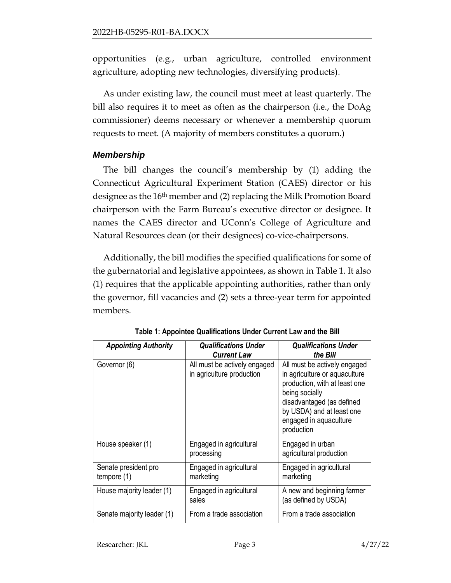opportunities (e.g., urban agriculture, controlled environment agriculture, adopting new technologies, diversifying products).

As under existing law, the council must meet at least quarterly. The bill also requires it to meet as often as the chairperson (i.e., the DoAg commissioner) deems necessary or whenever a membership quorum requests to meet. (A majority of members constitutes a quorum.)

#### *Membership*

The bill changes the council's membership by (1) adding the Connecticut Agricultural Experiment Station (CAES) director or his designee as the 16<sup>th</sup> member and (2) replacing the Milk Promotion Board chairperson with the Farm Bureau's executive director or designee. It names the CAES director and UConn's College of Agriculture and Natural Resources dean (or their designees) co-vice-chairpersons.

Additionally, the bill modifies the specified qualifications for some of the gubernatorial and legislative appointees, as shown in Table 1. It also (1) requires that the applicable appointing authorities, rather than only the governor, fill vacancies and (2) sets a three-year term for appointed members.

| <b>Appointing Authority</b>           | <b>Qualifications Under</b><br><b>Current Law</b>         | <b>Qualifications Under</b><br>the Bill                                                                                                                                                                            |
|---------------------------------------|-----------------------------------------------------------|--------------------------------------------------------------------------------------------------------------------------------------------------------------------------------------------------------------------|
| Governor (6)                          | All must be actively engaged<br>in agriculture production | All must be actively engaged<br>in agriculture or aquaculture<br>production, with at least one<br>being socially<br>disadvantaged (as defined<br>by USDA) and at least one<br>engaged in aquaculture<br>production |
| House speaker (1)                     | Engaged in agricultural<br>processing                     | Engaged in urban<br>agricultural production                                                                                                                                                                        |
| Senate president pro<br>tempore $(1)$ | Engaged in agricultural<br>marketing                      | Engaged in agricultural<br>marketing                                                                                                                                                                               |
| House majority leader (1)             | Engaged in agricultural<br>sales                          | A new and beginning farmer<br>(as defined by USDA)                                                                                                                                                                 |
| Senate majority leader (1)            | From a trade association                                  | From a trade association                                                                                                                                                                                           |

**Table 1: Appointee Qualifications Under Current Law and the Bill**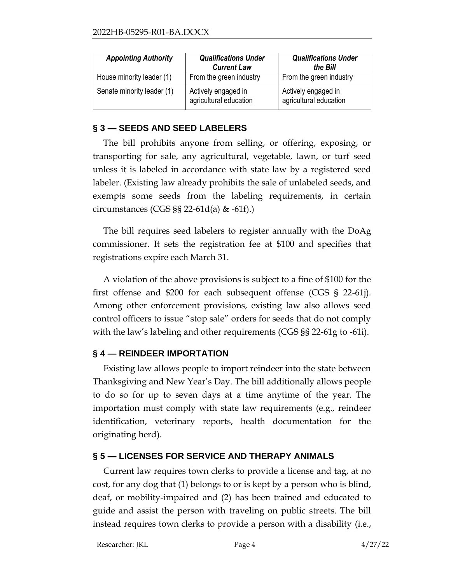| <b>Appointing Authority</b> | <b>Qualifications Under</b><br><b>Current Law</b> | <b>Qualifications Under</b><br>the Bill       |
|-----------------------------|---------------------------------------------------|-----------------------------------------------|
| House minority leader (1)   | From the green industry                           | From the green industry                       |
| Senate minority leader (1)  | Actively engaged in<br>agricultural education     | Actively engaged in<br>agricultural education |

#### **§ 3 — SEEDS AND SEED LABELERS**

The bill prohibits anyone from selling, or offering, exposing, or transporting for sale, any agricultural, vegetable, lawn, or turf seed unless it is labeled in accordance with state law by a registered seed labeler. (Existing law already prohibits the sale of unlabeled seeds, and exempts some seeds from the labeling requirements, in certain circumstances (CGS §§ 22-61d(a) & -61f).)

The bill requires seed labelers to register annually with the DoAg commissioner. It sets the registration fee at \$100 and specifies that registrations expire each March 31.

A violation of the above provisions is subject to a fine of \$100 for the first offense and \$200 for each subsequent offense (CGS § 22-61j). Among other enforcement provisions, existing law also allows seed control officers to issue "stop sale" orders for seeds that do not comply with the law's labeling and other requirements (CGS §§ 22-61g to -61i).

### **§ 4 — REINDEER IMPORTATION**

Existing law allows people to import reindeer into the state between Thanksgiving and New Year's Day. The bill additionally allows people to do so for up to seven days at a time anytime of the year. The importation must comply with state law requirements (e.g., reindeer identification, veterinary reports, health documentation for the originating herd).

### **§ 5 — LICENSES FOR SERVICE AND THERAPY ANIMALS**

Current law requires town clerks to provide a license and tag, at no cost, for any dog that (1) belongs to or is kept by a person who is blind, deaf, or mobility-impaired and (2) has been trained and educated to guide and assist the person with traveling on public streets. The bill instead requires town clerks to provide a person with a disability (i.e.,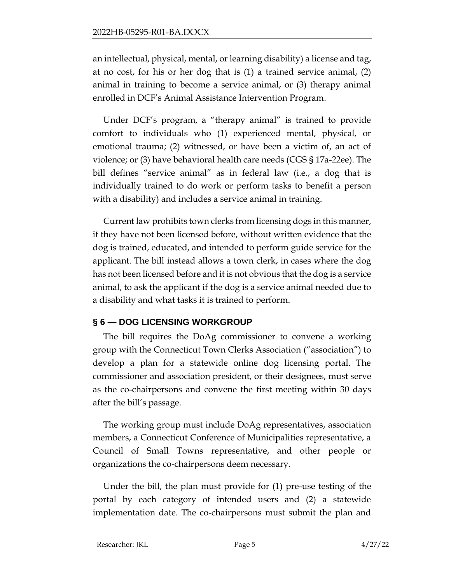an intellectual, physical, mental, or learning disability) a license and tag, at no cost, for his or her dog that is (1) a trained service animal, (2) animal in training to become a service animal, or (3) therapy animal enrolled in DCF's Animal Assistance Intervention Program.

Under DCF's program, a "therapy animal" is trained to provide comfort to individuals who (1) experienced mental, physical, or emotional trauma; (2) witnessed, or have been a victim of, an act of violence; or (3) have behavioral health care needs (CGS § 17a-22ee). The bill defines "service animal" as in federal law (i.e., a dog that is individually trained to do work or perform tasks to benefit a person with a disability) and includes a service animal in training.

Current law prohibits town clerks from licensing dogs in this manner, if they have not been licensed before, without written evidence that the dog is trained, educated, and intended to perform guide service for the applicant. The bill instead allows a town clerk, in cases where the dog has not been licensed before and it is not obvious that the dog is a service animal, to ask the applicant if the dog is a service animal needed due to a disability and what tasks it is trained to perform.

#### **§ 6 — DOG LICENSING WORKGROUP**

The bill requires the DoAg commissioner to convene a working group with the Connecticut Town Clerks Association ("association") to develop a plan for a statewide online dog licensing portal. The commissioner and association president, or their designees, must serve as the co-chairpersons and convene the first meeting within 30 days after the bill's passage.

The working group must include DoAg representatives, association members, a Connecticut Conference of Municipalities representative, a Council of Small Towns representative, and other people or organizations the co-chairpersons deem necessary.

Under the bill, the plan must provide for (1) pre-use testing of the portal by each category of intended users and (2) a statewide implementation date. The co-chairpersons must submit the plan and